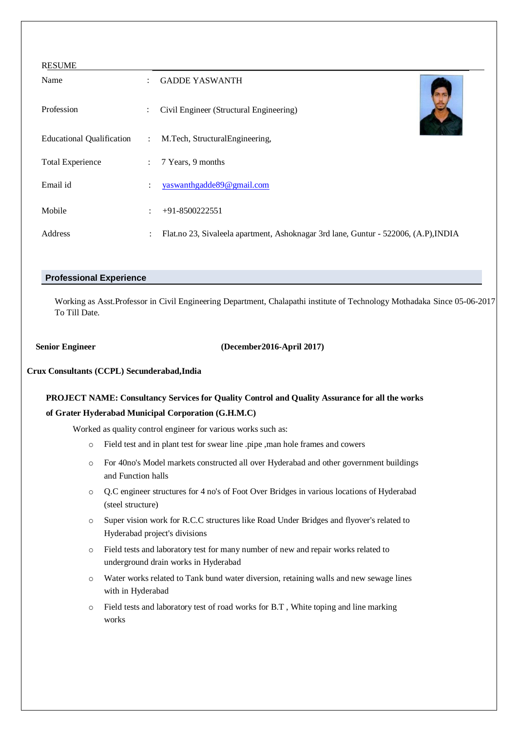| <b>RESUME</b>                    |                           |                                                                                     |
|----------------------------------|---------------------------|-------------------------------------------------------------------------------------|
| Name                             | $\mathcal{L}$             | <b>GADDE YASWANTH</b>                                                               |
| Profession                       | $\ddot{\phantom{0}}$      | Civil Engineer (Structural Engineering)                                             |
| <b>Educational Qualification</b> | $\mathbb{R}^{\mathbb{Z}}$ | M.Tech, StructuralEngineering,                                                      |
| <b>Total Experience</b>          | $\mathcal{L}$             | 7 Years, 9 months                                                                   |
| Email id                         |                           | yaswanthgadde89@gmail.com                                                           |
| Mobile                           | $\ddot{\phantom{a}}$      | $+91-8500222551$                                                                    |
| Address                          | $\mathcal{L}$             | Flat.no 23, Sivaleela apartment, Ashoknagar 3rd lane, Guntur - 522006, (A.P), INDIA |

## **Professional Experience**

Working as Asst.Professor in Civil Engineering Department, Chalapathi institute of Technology Mothadaka Since 05-06-2017 To Till Date.

 **Senior Engineer (December2016-April 2017)**

### **Crux Consultants (CCPL) Secunderabad,India**

# **PROJECT NAME: Consultancy Services for Quality Control and Quality Assurance for all the works of Grater Hyderabad Municipal Corporation (G.H.M.C)**

Worked as quality control engineer for various works such as:

- o Field test and in plant test for swear line .pipe ,man hole frames and cowers
- o For 40no's Model markets constructed all over Hyderabad and other government buildings and Function halls
- o Q.C engineer structures for 4 no's of Foot Over Bridges in various locations of Hyderabad (steel structure)
- o Super vision work for R.C.C structures like Road Under Bridges and flyover's related to Hyderabad project's divisions
- o Field tests and laboratory test for many number of new and repair works related to underground drain works in Hyderabad
- o Water works related to Tank bund water diversion, retaining walls and new sewage lines with in Hyderabad
- o Field tests and laboratory test of road works for B.T , White toping and line marking works